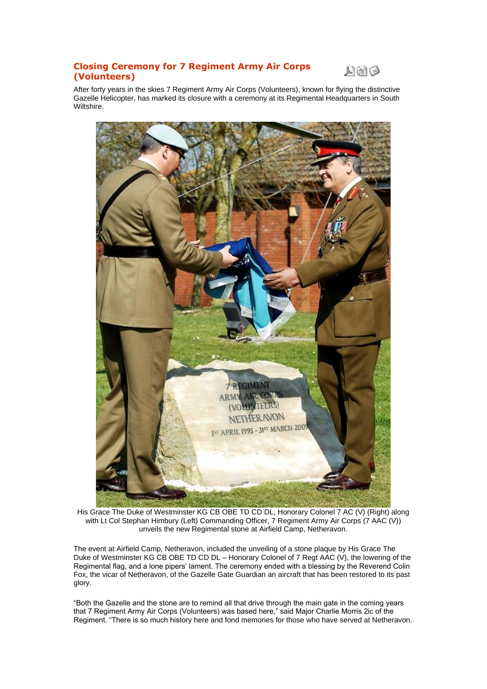## **Closing Ceremony for 7 Regiment Army Air Corps (Volunteers)**



After forty years in the skies 7 Regiment Army Air Corps (Volunteers), known for flying the distinctive Gazelle Helicopter, has marked its closure with a ceremony at its Regimental Headquarters in South Wiltshire.



His Grace The Duke of Westminster KG CB OBE TD CD DL, Honorary Colonel 7 AC (V) (Right) along with Lt Col Stephan Himbury (Left) Commanding Officer, 7 Regiment Army Air Corps (7 AAC (V)) unveils the new Regimental stone at Airfield Camp, Netheravon.

The event at Airfield Camp, Netheravon, included the unveiling of a stone plaque by His Grace The Duke of Westminster KG CB OBE TD CD DL – Honorary Colonel of 7 Regt AAC (V), the lowering of the Regimental flag, and a lone pipers' lament. The ceremony ended with a blessing by the Reverend Colin Fox, the vicar of Netheravon, of the Gazelle Gate Guardian an aircraft that has been restored to its past glory.

"Both the Gazelle and the stone are to remind all that drive through the main gate in the coming years that 7 Regiment Army Air Corps (Volunteers) was based here," said Major Charlie Morris 2ic of the Regiment. "There is so much history here and fond memories for those who have served at Netheravon.